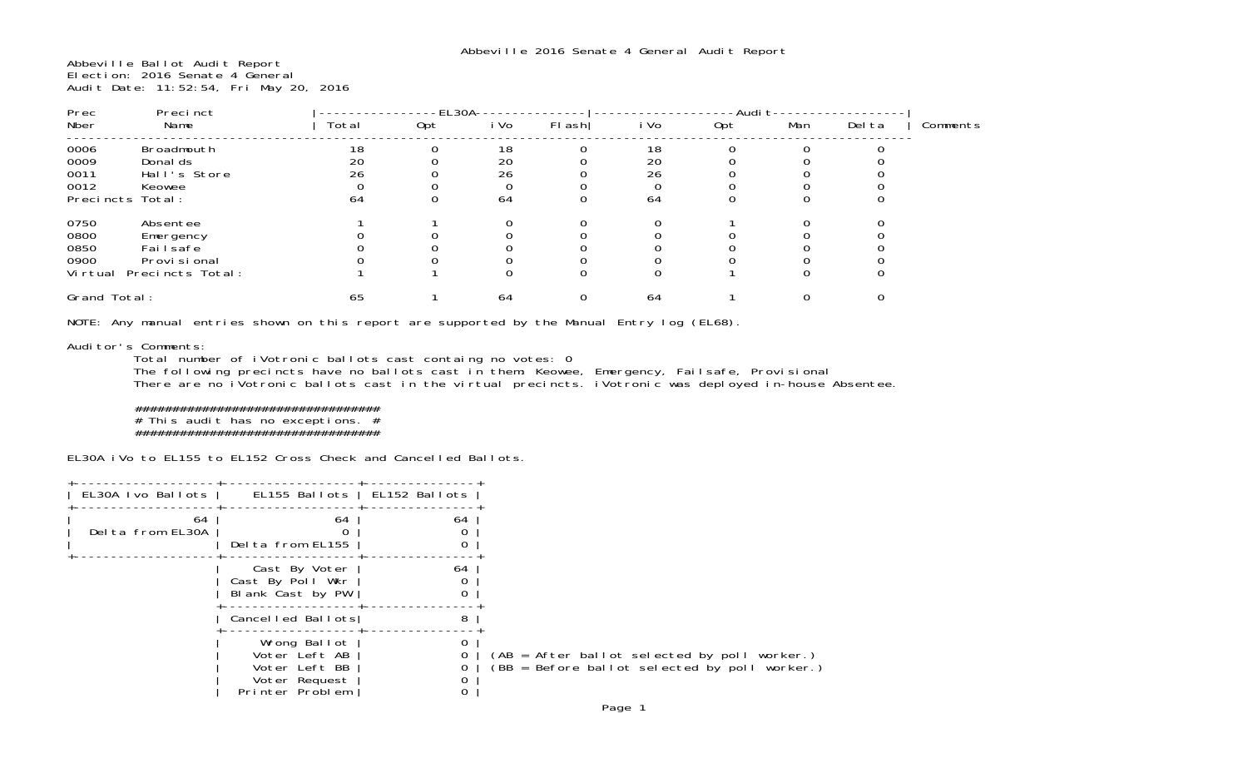Abbeville Ballot Audit Report Election: 2016 Senate 4 General Audit Date: 11:52:54, Fri May 20, 2016

| Precinct<br>Prec                         |                                                                          | EL30A          |     |                |        | -Audit         |     |     |        |          |
|------------------------------------------|--------------------------------------------------------------------------|----------------|-----|----------------|--------|----------------|-----|-----|--------|----------|
| Nber                                     | Name                                                                     | Total          | 0pt | i Vo           | FI ash | i Vo           | 0pt | Man | Del ta | Comments |
| 0006<br>0009<br>0011<br>0012             | Broadmouth<br>Donal ds<br>Hall's Store<br>Keowee                         | 18<br>20<br>26 |     | 18<br>20<br>26 |        | 18<br>20<br>26 |     |     |        |          |
| Precincts Total:                         |                                                                          | 64             |     | 64             | 0      | 64             |     |     |        |          |
| 0750<br>0800<br>0850<br>0900<br>Vi rtual | Absentee<br>Emergency<br>Fai I safe<br>Provi si onal<br>Precincts Total: |                |     |                |        |                |     |     |        |          |
| Grand Total:                             |                                                                          | 65             |     | 64             | 0      | 64             |     |     |        |          |

NOTE: Any manual entries shown on this report are supported by the Manual Entry log (EL68).

## Auditor's Comments:

 Total number of iVotronic ballots cast containg no votes: 0 The following precincts have no ballots cast in them: Keowee, Emergency, Failsafe, Provisional

There are no iVotronic ballots cast in the virtual precincts. iVotronic was deployed in-house Absentee.

## ################################## This audit has no exceptions. # #################################

EL30A iVo to EL155 to EL152 Cross Check and Cancelled Ballots.

| EL30A Ivo Ballots      | EL155 Ballots                                                                      | EL152 Ballots |                                                                                                 |
|------------------------|------------------------------------------------------------------------------------|---------------|-------------------------------------------------------------------------------------------------|
| 64<br>Delta from EL30A | 64<br>Delta from EL155                                                             | 64            |                                                                                                 |
|                        | Cast By Voter<br>Cast By Poll Wkr<br>Blank Cast by PW                              | 64            |                                                                                                 |
|                        | Cancelled Ballots                                                                  | 8             |                                                                                                 |
|                        | Wrong Ballot<br>Voter Left AB<br>Voter Left BB<br>Voter Request<br>Printer Problem | 0<br>0<br>0   | $(AB = After ballot selected by poll worker.)$<br>(BB = Before ballot selected by poll worker.) |
|                        |                                                                                    |               | $D_{0.000}$ 1                                                                                   |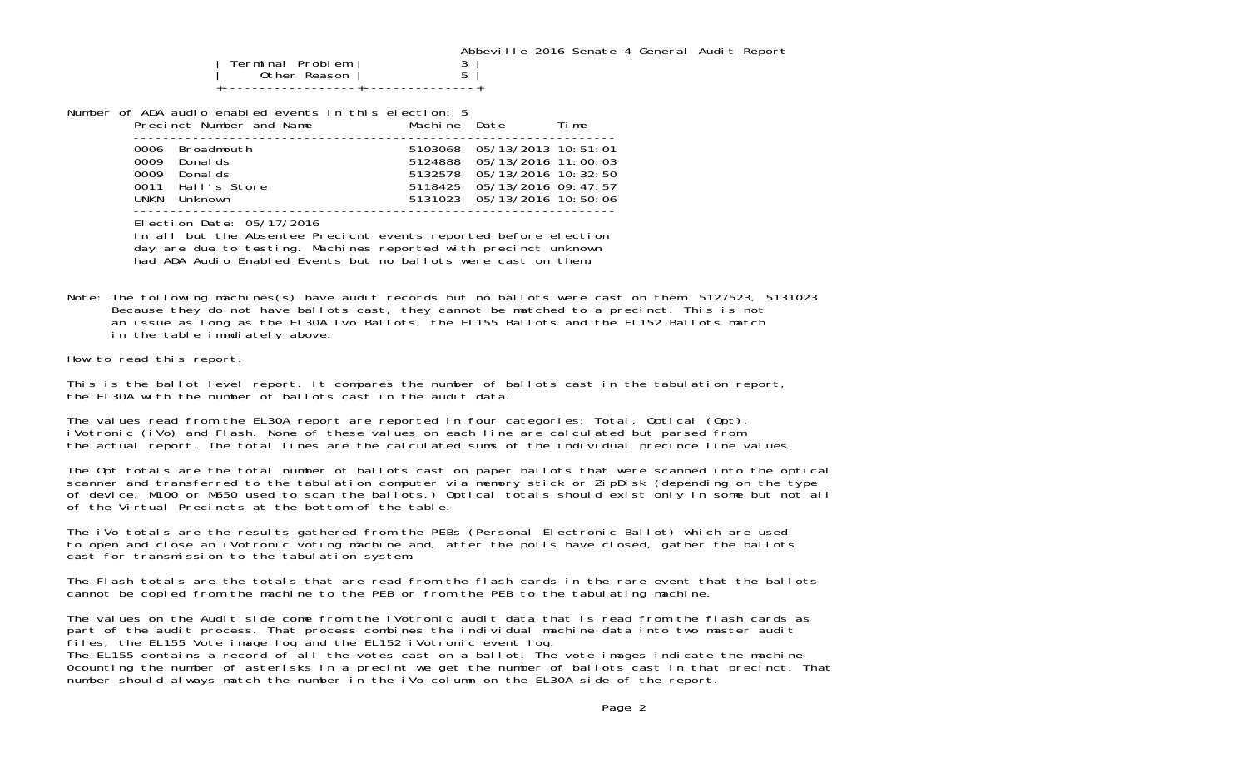| Terminal Problem<br>Other Reason $\vert$ |  |
|------------------------------------------|--|
|                                          |  |

-----------------------------------------------------------------

Number of ADA audio enabled events in this election: 5

|              | Precinct Number and Name                                                | Machine Date |                                                                                                                                                         | Time |
|--------------|-------------------------------------------------------------------------|--------------|---------------------------------------------------------------------------------------------------------------------------------------------------------|------|
| 0009<br>UNKN | 0006 Broadmouth<br>Donal ds<br>Donal ds<br>0011 Hall's Store<br>Unknown |              | 5103068 05/13/2013 10:51:01<br>5124888 05/13/2016 11:00:03<br>5132578 05/13/2016 10:32:50<br>5118425 05/13/2016 09:47:57<br>5131023 05/13/2016 10:50:06 |      |
|              |                                                                         |              |                                                                                                                                                         |      |

Election Date: 05/17/2016

In all but the Absentee Precicnt events reported before election day are due to testing. Machines reported with precinct unknown had ADA Audio Enabled Events but no ballots were cast on them.

Note: The following machines(s) have audit records but no ballots were cast on them: 5127523, 5131023 Because they do not have ballots cast, they cannot be matched to a precinct. This is not an issue as long as the EL30A Ivo Ballots, the EL155 Ballots and the EL152 Ballots match in the table immdiately above.

How to read this report.

This is the ballot level report. It compares the number of ballots cast in the tabulation report, the EL30A with the number of ballots cast in the audit data.

The values read from the EL30A report are reported in four categories; Total, Optical (Opt), iVotronic (iVo) and Flash. None of these values on each line are calculated but parsed from the actual report. The total lines are the calculated sums of the individual precince line values.

The Opt totals are the total number of ballots cast on paper ballots that were scanned into the optical<br>scanner and transferred to the tabulation computer via memory stick or ZipDisk (depending on the type of device, M100 or M650 used to scan the ballots.) Optical totals should exist only in some but not all of the Virtual Precincts at the bottom of the table.

The iVo totals are the results gathered from the PEBs (Personal Electronic Ballot) which are used to open and close an iVotronic voting machine and, after the polls have closed, gather the ballots cast for transmission to the tabulation system.

The Flash totals are the totals that are read from the flash cards in the rare event that the ballots cannot be copied from the machine to the PEB or from the PEB to the tabulating machine.

The values on the Audit side come from the iVotronic audit data that is read from the flash cards as part of the audit process. That process combines the individual machine data into two master audit files, the EL155 Vote image log and the EL152 iVotronic event log.

The EL155 contains a record of all the votes cast on a ballot. The vote images indicate the machine 0counting the number of asterisks in a precint we get the number of ballots cast in that precinct. That number should always match the number in the iVo column on the EL30A side of the report.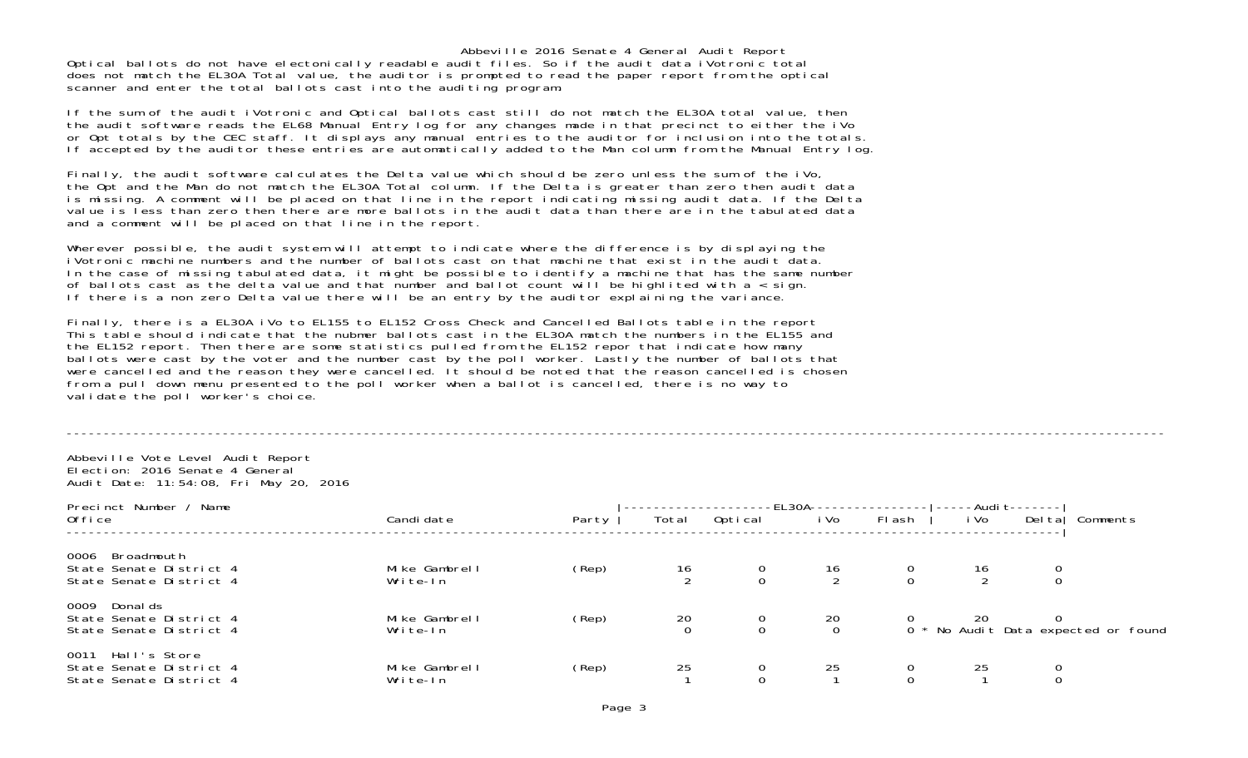Abbeville 2016 Senate 4 General Audit Report Optical ballots do not have electonically readable audit files. So if the audit data iVotronic total does not match the EL30A Total value, the auditor is prompted to read the paper report from the optical scanner and enter the total ballots cast into the auditing program.

If the sum of the audit iVotronic and Optical ballots cast still do not match the EL30A total value, then the audit software reads the EL68 Manual Entry log for any changes made in that precinct to either the iVo or Opt totals by the CEC staff. It displays any manual entries to the auditor for inclusion into the totals. If accepted by the auditor these entries are automatically added to the Man column from the Manual Entry log.

Finally, the audit software calculates the Delta value which should be zero unless the sum of the iVo, the Opt and the Man do not match the EL30A Total column. If the Delta is greater than zero then audit data is missing. A comment will be placed on that line in the report indicating missing audit data. If the Delta value is less than zero then there are more ballots in the audit data than there are in the tabulated data and a comment will be placed on that line in the report.

Wherever possible, the audit system will attempt to indicate where the difference is by displaying the iVotronic machine numbers and the number of ballots cast on that machine that exist in the audit data. In the case of missing tabulated data, it might be possible to identify a machine that has the same number of ballots cast as the delta value and that number and ballot count will be highlited with a < sign. If there is a non zero Delta value there will be an entry by the auditor explaining the variance.

Finally, there is a EL30A iVo to EL155 to EL152 Cross Check and Cancelled Ballots table in the report This table should indicate that the nubmer ballots cast in the EL30A match the numbers in the EL155 and the EL152 report. Then there are some statistics pulled from the EL152 repor that indicate how many ballots were cast by the voter and the number cast by the poll worker. Lastly the number of ballots that were cancelled and the reason they were cancelled. It should be noted that the reason cancelled is chosen from a pull down menu presented to the poll worker when a ballot is cancelled, there is no way to validate the poll worker's choice.

## ----------------------------------------------------------------------------------------------------------------------------------------------------

Abbeville Vote Level Audit Report Election: 2016 Senate 4 General Audit Date: 11:54:08, Fri May 20, 2016

| Precinct Number /<br>Name<br>0ffice                                        | Candi date                | Party | Total          | Optical | $-EL30A-$<br>i Vo | FI ash | i Vo | -Audi t-------<br>Deltal | Comments                            |
|----------------------------------------------------------------------------|---------------------------|-------|----------------|---------|-------------------|--------|------|--------------------------|-------------------------------------|
| 0006<br>Broadmouth<br>State Senate District 4<br>State Senate District 4   | Mike Gambrell<br>Write-In | (Rep) | $\frac{16}{2}$ |         | 16                |        | 16   |                          |                                     |
| 0009<br>Donal ds<br>State Senate District 4<br>State Senate District 4     | Mike Gambrell<br>Write-In | (Rep) | $^{20}_{0}$    | U       | $^{20}_{0}$       |        | 20   |                          | 0 * No Audit Data expected or found |
| Hall's Store<br>0011<br>State Senate District 4<br>State Senate District 4 | Mike Gambrell<br>Write-In | (Rep) | 25             |         | 25                |        | 25   |                          |                                     |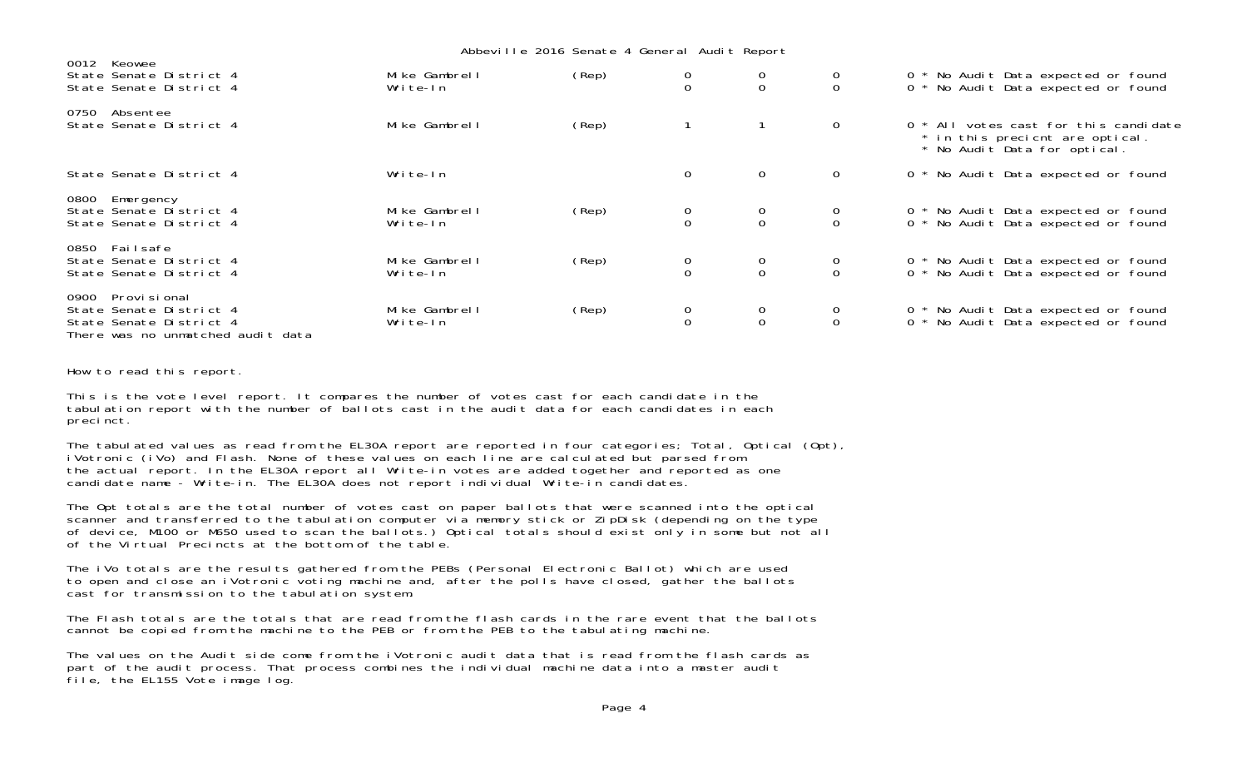|                                                                                                               |                           | Abbeville 2016 Senate 4 General Audit Report |                                      |                                      |                                      |                                                                                                          |
|---------------------------------------------------------------------------------------------------------------|---------------------------|----------------------------------------------|--------------------------------------|--------------------------------------|--------------------------------------|----------------------------------------------------------------------------------------------------------|
| 0012 Keowee<br>State Senate District 4<br>State Senate District 4                                             | Mike Gambrell<br>Write-In | (Rep)                                        | $\begin{matrix} 0 \\ 0 \end{matrix}$ | $\begin{matrix} 0 \\ 0 \end{matrix}$ | $\begin{matrix} 0 \\ 0 \end{matrix}$ | 0 * No Audit Data expected or found<br>0 * No Audit Data expected or found                               |
| 0750<br>Absentee<br>State Senate District 4                                                                   | Mike Gambrell             | $(\text{Rep})$                               |                                      |                                      | $\overline{0}$                       | 0 * All votes cast for this candidate<br>* in this precient are optical.<br>* No Audit Data for optical. |
| State Senate District 4                                                                                       | Write-In                  |                                              | $\Omega$                             | $\overline{0}$                       | $\overline{0}$                       | 0 * No Audit Data expected or found                                                                      |
| 0800 Emergency<br>State Senate District 4<br>State Senate District 4                                          | Mike Gambrell<br>Write-In | (Rep)                                        | $\begin{matrix}0\\0\end{matrix}$     | $\begin{matrix}0\\0\end{matrix}$     | $\begin{matrix} 0 \\ 0 \end{matrix}$ | 0 * No Audit Data expected or found<br>0 * No Audit Data expected or found                               |
| 0850<br>Failsafe<br>State Senate District 4<br>State Senate District 4                                        | Mike Gambrell<br>Write-In | (Rep)                                        | $\begin{matrix}0\\0\end{matrix}$     | $\begin{matrix} 0 \\ 0 \end{matrix}$ | $\begin{matrix} 0 \\ 0 \end{matrix}$ | 0 * No Audit Data expected or found<br>0 * No Audit Data expected or found                               |
| 0900 Provi si onal<br>State Senate District 4<br>State Senate District 4<br>There was no unmatched audit data | Mike Gambrell<br>Write-In | (Rep)                                        | $\begin{matrix}0\\0\end{matrix}$     | $\begin{matrix}0\\0\end{matrix}$     | $\begin{matrix} 0 \\ 0 \end{matrix}$ | 0 * No Audit Data expected or found<br>0 * No Audit Data expected or found                               |

How to read this report.

This is the vote level report. It compares the number of votes cast for each candidate in the tabulation report with the number of ballots cast in the audit data for each candidates in each precinct.

The tabulated values as read from the EL30A report are reported in four categories; Total, Optical (Opt), iVotronic (iVo) and Flash. None of these values on each line are calculated but parsed from the actual report. In the EL30A report all Write-in votes are added together and reported as one candidate name - Write-in. The EL30A does not report individual Write-in candidates.

The Opt totals are the total number of votes cast on paper ballots that were scanned into the optical scanner and transferred to the tabulation computer via memory stick or ZipDisk (depending on the type of device, M100 or M650 used to scan the ballots.) Optical totals should exist only in some but not all of the Virtual Precincts at the bottom of the table.

The iVo totals are the results gathered from the PEBs (Personal Electronic Ballot) which are used to open and close an iVotronic voting machine and, after the polls have closed, gather the ballots cast for transmission to the tabulation system.

The Flash totals are the totals that are read from the flash cards in the rare event that the ballotscannot be copied from the machine to the PEB or from the PEB to the tabulating machine.

The values on the Audit side come from the iVotronic audit data that is read from the flash cards as part of the audit process. That process combines the individual machine data into a master audit file, the EL155 Vote image log.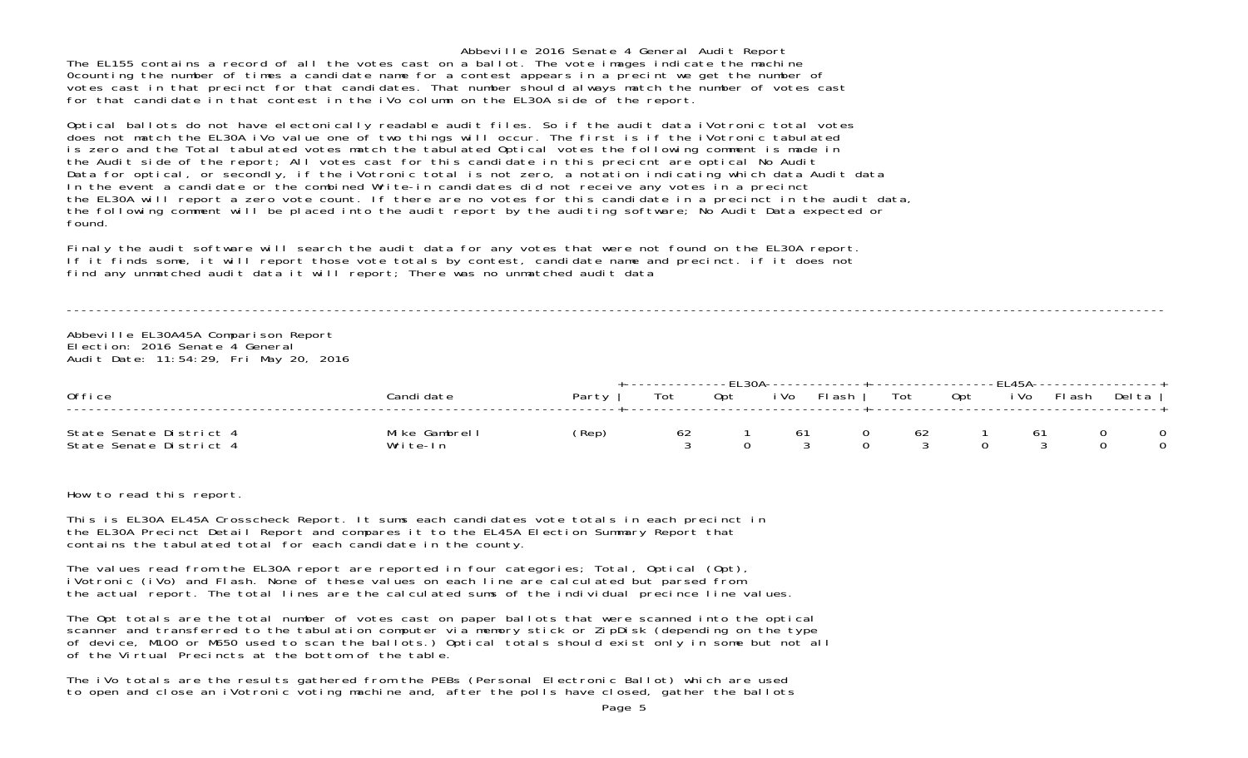Abbeville 2016 Senate 4 General Audit Report The EL155 contains a record of all the votes cast on a ballot. The vote images indicate the machine 0counting the number of times a candidate name for a contest appears in a precint we get the number of votes cast in that precinct for that candidates. That number should always match the number of votes cast for that candidate in that contest in the iVo column on the EL30A side of the report.

Optical ballots do not have electonically readable audit files. So if the audit data iVotronic total votes does not match the EL30A iVo value one of two things will occur. The first is if the iVotronic tabulated is zero and the Total tabulated votes match the tabulated Optical votes the following comment is made in the Audit side of the report; All votes cast for this candidate in this precient are optical No Audit Data for optical, or secondly, if the iVotronic total is not zero, a notation indicating which data Audit data In the event a candidate or the combined Write-in candidates did not receive any votes in a precinct the EL30A will report a zero vote count. If there are no votes for this candidate in a precinct in the audit data, the following comment will be placed into the audit report by the auditing software; No Audit Data expected or found.

Finaly the audit software will search the audit data for any votes that were not found on the EL30A report. If it finds some, it will report those vote totals by contest, candidate name and precinct. if it does not find any unmatched audit data it will report; There was no unmatched audit data

----------------------------------------------------------------------------------------------------------------------------------------------------

Abbeville EL30A45A Comparison Report Election: 2016 Senate 4 GeneralAudit Date: 11:54:29, Fri May 20, 2016

| Office                                             | Candi date                | Party | Tot | Opt | i Vo | -FL 30A-------------------------------FL 45A------------------<br>Flash I | Tot | Opt | i Vo | Flash | Del ta |
|----------------------------------------------------|---------------------------|-------|-----|-----|------|---------------------------------------------------------------------------|-----|-----|------|-------|--------|
| State Senate District 4<br>State Senate District 4 | Mike Gambrell<br>Write-In | (Rep) | 62  |     | -61  |                                                                           | 62  |     | -61  |       |        |

How to read this report.

This is EL30A EL45A Crosscheck Report. It sums each candidates vote totals in each precinct in the EL30A Precinct Detail Report and compares it to the EL45A Election Summary Report that contains the tabulated total for each candidate in the county.

The values read from the EL30A report are reported in four categories; Total, Optical (Opt), iVotronic (iVo) and Flash. None of these values on each line are calculated but parsed from the actual report. The total lines are the calculated sums of the individual precince line values.

The Opt totals are the total number of votes cast on paper ballots that were scanned into the optical scanner and transferred to the tabulation computer via memory stick or ZipDisk (depending on the type of device, M100 or M650 used to scan the ballots.) Optical totals should exist only in some but not all of the Virtual Precincts at the bottom of the table.

The iVo totals are the results gathered from the PEBs (Personal Electronic Ballot) which are used to open and close an iVotronic voting machine and, after the polls have closed, gather the ballots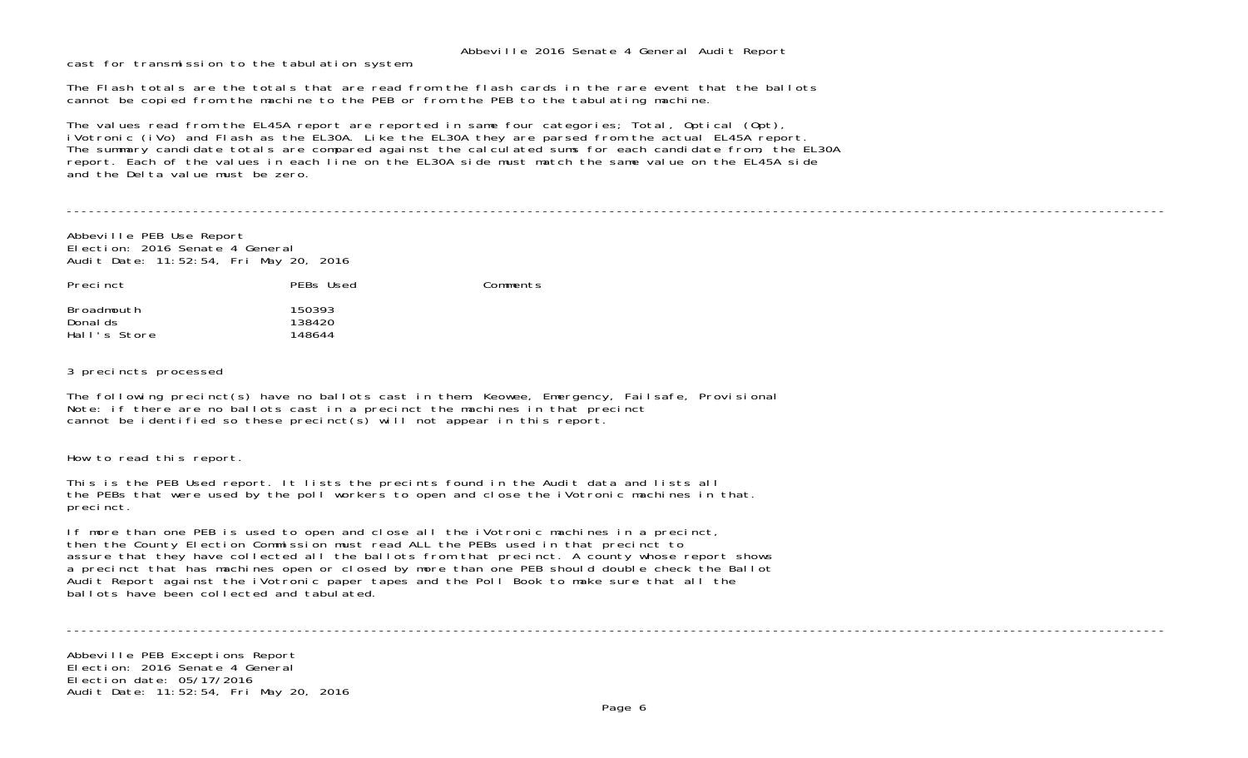cast for transmission to the tabulation system.

The Flash totals are the totals that are read from the flash cards in the rare event that the ballotscannot be copied from the machine to the PEB or from the PEB to the tabulating machine.

The values read from the EL45A report are reported in same four categories; Total, Optical (Opt), iVotronic (iVo) and Flash as the EL30A. Like the EL30A they are parsed from the actual EL45A report. The summary candidate totals are compared against the calculated sums for each candidate from, the EL30A report. Each of the values in each line on the EL30A side must match the same value on the EL45A side and the Delta value must be zero.

----------------------------------------------------------------------------------------------------------------------------------------------------

Abbeville PEB Use Report Election: 2016 Senate 4 General Audit Date: 11:52:54, Fri May 20, 2016

| Precinct                               | PEBs Used                  | Comments |
|----------------------------------------|----------------------------|----------|
| Broadmouth<br>Donal ds<br>Hall's Store | 150393<br>138420<br>148644 |          |

3 precincts processed

The following precinct(s) have no ballots cast in them: Keowee, Emergency, Failsafe, Provisional Note: if there are no ballots cast in a precinct the machines in that precinct cannot be identified so these precinct(s) will not appear in this report.

How to read this report.

This is the PEB Used report. It lists the precints found in the Audit data and lists all the PEBs that were used by the poll workers to open and close the iVotronic machines in that. precinct.

If more than one PEB is used to open and close all the iVotronic machines in a precinct, then the County Election Commission must read ALL the PEBs used in that precinct to assure that they have collected all the ballots from that precinct. A county whose report shows a precinct that has machines open or closed by more than one PEB should double check the Ballot Audit Report against the iVotronic paper tapes and the Poll Book to make sure that all the ballots have been collected and tabulated.

----------------------------------------------------------------------------------------------------------------------------------------------------

Abbeville PEB Exceptions Report Election: 2016 Senate 4 GeneralElection date: 05/17/2016Audit Date: 11:52:54, Fri May 20, 2016